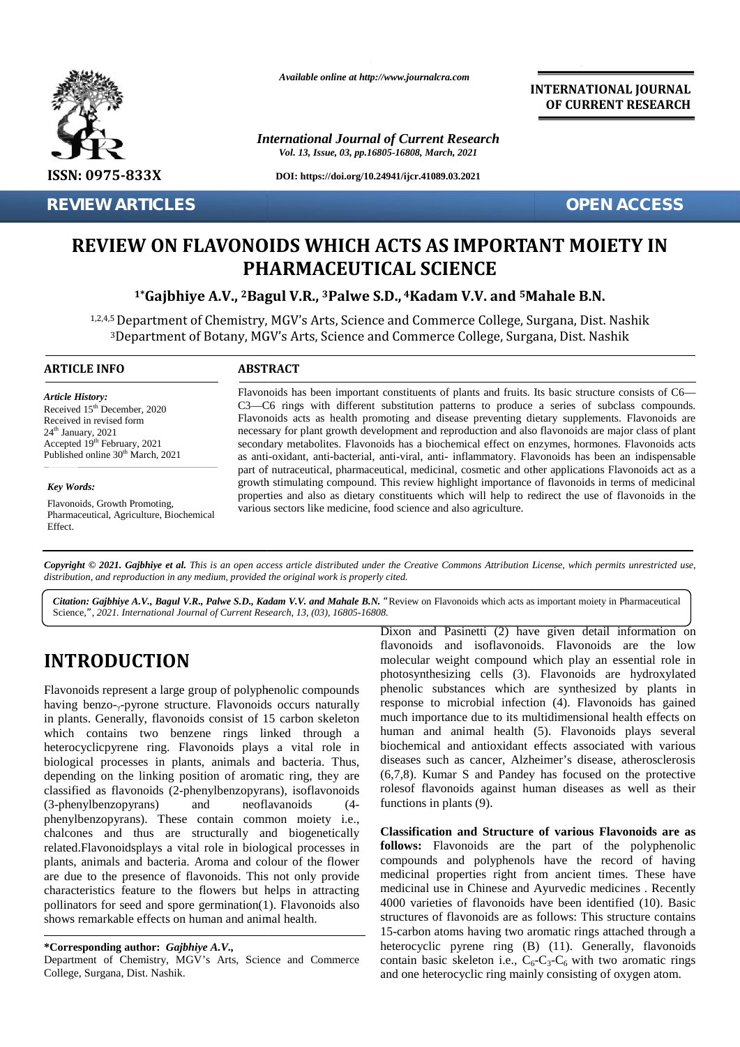

**REVIEW ARTICLES OPEN ACCESS**

*Available online at http://www.journalcra.com*

*International Journal of Current Research Vol. 13, Issue, 03, pp.16805-16808, March, 2021*

**DOI: https://doi.org/10.24941/ijcr.41089.03.2021**

**INTERNATIONAL JOURNAL OF CURRENT RESEARCH**

# **REVIEW ON FLAVONOIDS WHICH ACTS AS IMPORTANT MOIETY IN AS PHARMACEUTICAL SCIENCE**

**1\*Gajbhiye A.V., <sup>2</sup>Bagul V.R., <sup>3</sup>Palwe S.D., <sup>4</sup>Kadam V.V. and <sup>5</sup>Mahale B.N. V.V. and**

1,2,4,5 Department of Chemistry, MGV's Arts, Science and Commerce College, Surgana, Dist. Nashik <sup>3</sup>Department of Botany, MGV's Arts, Science and Commerce College, Surgana, Dist. Nashik

## **ARTICLE INFO ABSTRACT ARTICLE ABSTRACT**

*Article History: Article History:* Received  $15<sup>th</sup>$  December, 2020 Received 15 December, 2020<br>Received in revised form  $24<sup>th</sup>$  January,  $2021$ Received in revised form<br>  $24^{\text{th}}$  January, 2021 **Formac**<br>
Accepted 19<sup>th</sup> February, 2021 **Sexual** Published online  $30<sup>th</sup>$  March, 2021 A, S. Department of Chemistry,<br>
3Department of Botany, MC<br>
TRINFO<br>
Traven<br>
Proprime Capacity<br>
Flavon<br>
Proprime Capacity<br>
Proprime Capacity<br>
Proprime Capacity<br>
Proprime Capacity<br>
Proprime Capacity<br>
Proprime Capacity<br>
Propri

## *Key Words:*

Flavonoids, Growth Promoting, Pharmaceutical, Agriculture, Biochemical Effect.

Flavonoids has been important constituents of plants and fruits. Its basic structure consists of C6— C3—C6 rings with different substitution patterns to produce a series of subclass compounds. Flavonoids acts as health promoting and disease preventing dietary supplements. Flavonoids are necessary for plant growth development and reproduction and also flavonoids are major class of plant secondary metabolites. Flavonoids has a biochemical effect on enzymes, hormones. Flavonoids acts as anti-oxidant, anti-bacterial, anti-viral, anti- inflammatory. Flavonoids has been an indispensable part of nutraceutical, pharmaceutical, medicinal, cosmetic and other applications Flavonoids act as a growth stimulating compound. This review highlight importance of flavonoids in terms of medicinal properties and also as dietary constituents which will help to redirect the use of flavonoids in the various sectors like medicine, food science and also agriculture. Flavonoids has been important constituents of plants and fruits. Its basic structure consists of CC3—C6 rings with different substitution patterns to produce a series of subclass compour<br>Flavonoids acts as health promoting **REVIEW ARTICLES**<br> **REVIEW ON FLAVONOIDS WHICH ACTS AS IMPORTANT NORTANT PHARMACEUTICAL SCIENCE**<br>
<sup>1</sup> "Gajbhiye A.V., <sup>2</sup> Bagul V.R., <sup>3</sup> Palve S.D., <sup>4</sup> Kadam V.V. and <sup>5</sup> Mahale 1.2.45 Department of Chemistry, MGV's Arts Fraxe about the different set of the search, 13, (03), 16805-16808.<br> **C3—C6** rings with different set of the secondary metabolites. Flavonoids acts as health promon necessary for plant growth develops as anti-oxidant, anti

Copyright © 2021. Gajbhiye et al. This is an open access article distributed under the Creative Commons Attribution License, which permits unrestricted use, *distribution, and reproduction in any medium, provided the original work is properly cited. distribution,any*

*Citation: Gajbhiye A.V., Bagul V.R., Palwe S.D., Kadam V.V. and Mahale B.N. "*Review on Flavonoids which acts as important moiety in Pharmaceutical Science,*", 2021. International Journal of Current Research, 13, (03), 16805-16808.*

# **INTRODUCTION INTRODUCTION**

Flavonoids represent a large group of polyphenolic compounds having benzo-<sub>y</sub>-pyrone structure. Flavonoids occurs naturally in plants. Generally, flavonoids consist of 15 carbon skeleton which contains two benzene rings linked through a heterocyclicpyrene ring. Flavonoids plays a vital role in Flavonoids represent a large group of polyphenolic compounds<br>having benzo-<sub>7</sub>-pyrone structure. Flavonoids occurs naturally<br>in plants. Generally, flavonoids consist of 15 carbon skeleton<br>which contains two benzene rings li depending on the linking position of aromatic ring, they are classified as flavonoids (2-phenylbenzopyrans), isoflavonoids (3-phenylbenzopyrans) and neoflavanoids (4 phenylbenzopyrans). These contain common moiety i.e., chalcones and thus are structurally and biogenetically related.Flavonoidsplays a vital role in biological processes in plants, animals and bacteria. Aroma and colour of the flower are due to the presence of flavonoids. This not only provide characteristics feature to the flowers but helps in attracting pollinators for seed and spore germination(1). Flavonoids also  $4000$ shows remarkable effects on human and animal health. depending on the linking position of aromatic ring, they are classified as flavonoids (2-phenylbenzopyrans) and neoflavanoids (4-<br>phenylbenzopyrans). These contain common moiety i.e., chalcones and thus are structurally an are due to the presence of flavonoids. This not only pro<br>characteristics feature to the flowers but helps in attrac<br>pollinators for seed and spore germination(1). Flavonoids<br>shows remarkable effects on human and animal hea **INTRODUCTION**<br> **Envoncids cand Existential information** compounds meight compounds weight compound which play an essential role in<br>
molecular wise phenole proposition compounds phenomenons phenomenons which play an essen CR-2C rings with different substitution patterns to produce a secure  $\mu$  recent particle in the secure of princ growth difference in the production and also favor secure secure for plane growth and solid by the secondary

Dixon and Pasinetti (2) have given detail information on flavonoids and isoflavonoids. Flavonoids are the low molecular weight compound which play an essential role in photosynthesizing cells (3). Flavonoids are hydroxylated phenolic substances which are synthesized by plants in response to microbial infection (4). Flavonoids has gained much importance due to its multidimensional health effects on human and animal health (5). Flavonoids plays several human and animal health (5). Flavonoids plays several biochemical and antioxidant effects associated with various diseases such as cancer, Alzheimer's disease, atherosclerosis (6,7,8). Kumar S and Pandey has focused on the protective  $(6,7,8)$ . Kumar S and Pandey has focused on the protective rolesof flavonoids against human diseases as well as their functions in plants (9). Dixon and Pasinetti (2) have given detail infor<br>
flavonoids and isoflavonoids. Flavonoids are<br>
molecular weight compound which play an essen<br>
photosyntheisizing cells (3). Flavonoids are<br>
molecular weight compound which pl

**Classification and Structure of various Flavonoids are as follows:** Flavonoids are the part of the polyphenolic compounds and polyphenols have the record of having medicinal properties right from ancient times. These have medicinal use in Chinese and Ayurvedic medicines . Recently 4000 varieties of flavonoids have been identified (10). Basic structures of flavonoids are as follows: This structure contains 15-carbon atoms having two aromatic rings attached through a heterocyclic pyrene ring (B) (11). Generally, flavonoids contain basic skeleton i.e.,  $C_6-C_3-C_6$  with two aromatic rings and one heterocyclic ring mainly consisting of oxygen atom. **Classification and Structure of various Flavonoids are as follows:** Flavonoids are the part of the polyphenolic compounds and polyphenols have the record of having medicinal properties right from ancient times. These have

**<sup>\*</sup>Corresponding author:** *Gajbhiye A.V.,* **\*Corresponding** *A.V.,*

Department of Chemistry, MGV's Arts, Science and Commerce cor College, Surgana, Dist. Nashik.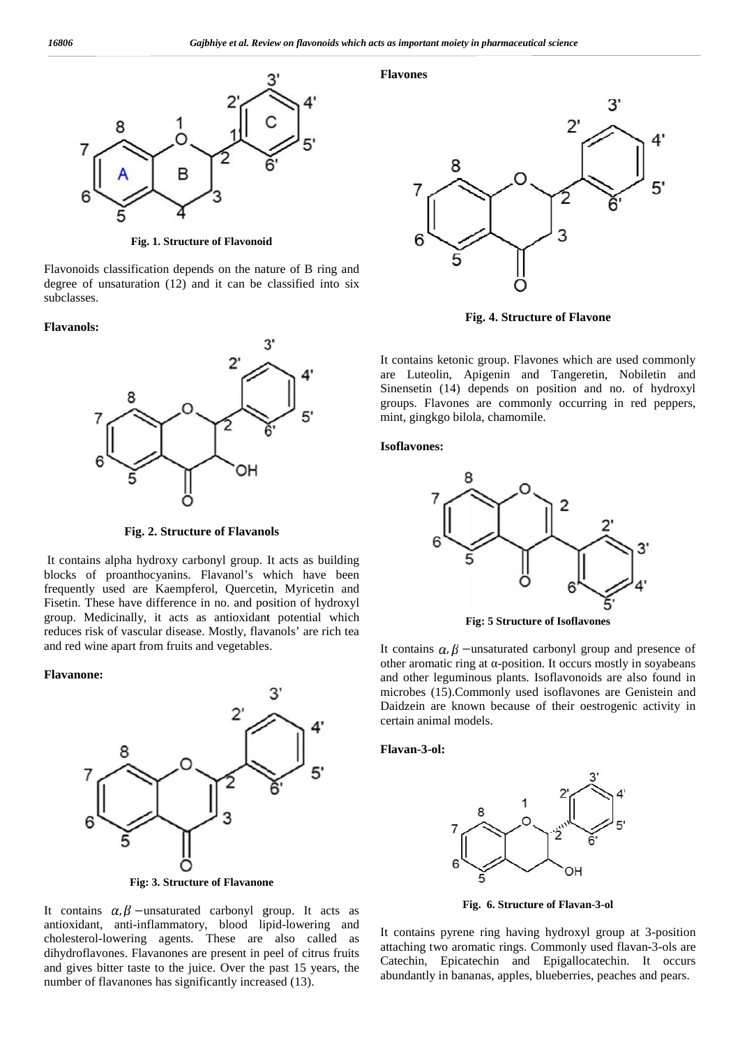

**Fig. 1. Structure of Flavonoid Fig.**

Flavonoids classification depends on the nature of B ring and degree of unsaturation (12) and it can be classified into six subclasses. Flavonoids classification depends on the nature of B ring degree of unsaturation (12) and it can be classified into subclasses.

#### **Flavanols:**



**Fig. 2. Structure of Flavanols**

It contains alpha hydroxy carbonyl group. It acts as building blocks of proanthocyanins. Flavanol's which have been blocks frequently used are Kaempferol, Quercetin, Myricetin and Fisetin. These have difference in no. and position of hydroxyl frequently used are Kaempferol, Quercetin, Myricetin and<br>Fisetin. These have difference in no. and position of hydroxyl<br>group. Medicinally, it acts as antioxidant potential which reduces risk of vascular disease. Mostly, flavanols' are rich tea and red wine apart from fruits and vegetables.

### **Flavanone: Flavanone:**



**Fig: 3. Structure of Flavanone Fig:** 

It contains  $\alpha, \beta$  –unsaturated carbonyl group. It acts as antioxidant, anti-inflammatory, blood lipid-lowering and cholesterol-lowering agents. These are also called as dihydroflavones. Flavanones are present in peel of citrus fruits and gives bitter taste to the juice. Over the past 15 years, the number of flavanones has significantly increased (13).

**Flavones**



**Fig. 4. Structure of Flavone**

It contains ketonic group. Flavones which are used commonly are Luteolin, Apigenin and Tangeretin, Nobiletin and Sinensetin (14) depends on position and no. of hydroxyl groups. Flavones are commonly occurring in red peppers, mint, gingkgo bilola, chamomile.

**Isoflavones:**



**Fig: 5 Structure of Isoflavones Fig:** 

It contains  $\alpha$ ,  $\beta$  –unsaturated carbonyl group and presence of other aromatic ring at -position. It occurs mostly in soyabeans<br>and other leguminous plants. Isoflavonoids are also found in<br>microbes (15).Commonly used isoflavones are Genistein and<br>Daidzein are known because of their oes and other leguminous plants. Isoflavonoids are also found in microbes (15).Commonly used isoflavones are Genistein and Daidzein are known because of their oestrogenic activity in certain animal models.

**Flavan-3-ol:**



**Fig. 6. Structure of Flavan-3-ol Flavan-3-ol**

It contains pyrene ring having hydroxyl group at 3-position attaching two aromatic rings. Commonly used flavan-3-ols are Catechin, Epicatechin and Epigallocatechin. It occurs abundantly in bananas, apples, blueberries, peaches and pears.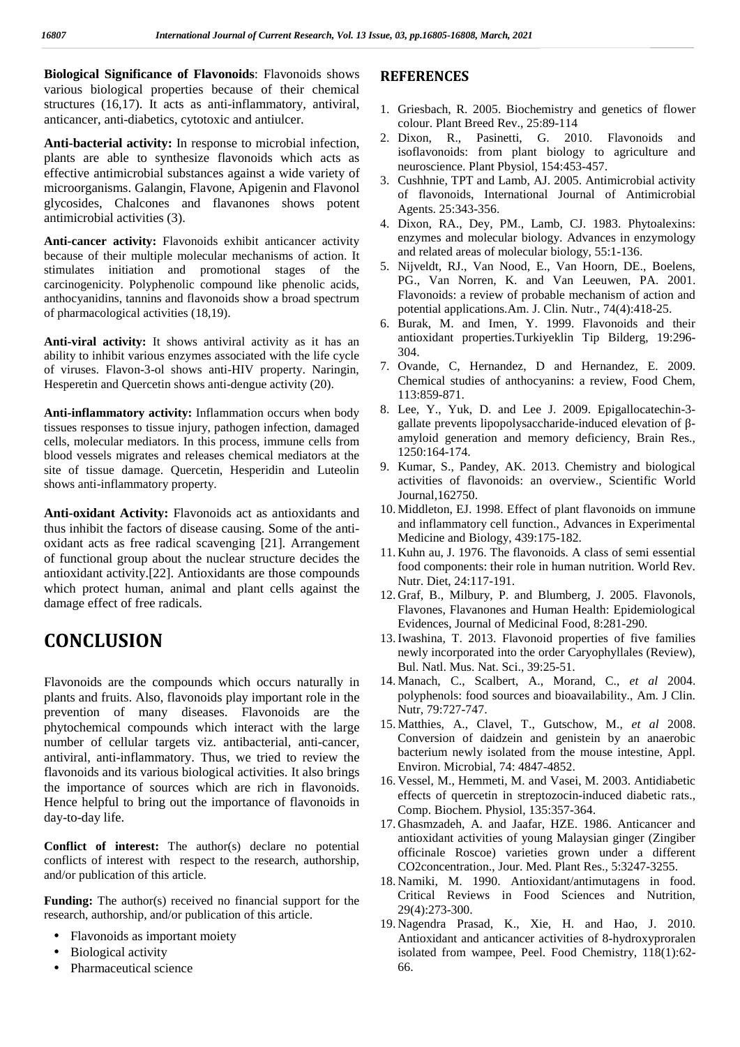**Biological Significance of Flavonoids**: Flavonoids shows various biological properties because of their chemical structures (16,17). It acts as anti-inflammatory, antiviral, anticancer, anti-diabetics, cytotoxic and antiulcer.

**Anti-bacterial activity:** In response to microbial infection, plants are able to synthesize flavonoids which acts as effective antimicrobial substances against a wide variety of microorganisms. Galangin, Flavone, Apigenin and Flavonol glycosides, Chalcones and flavanones shows potent antimicrobial activities (3).

**Anti-cancer activity:** Flavonoids exhibit anticancer activity because of their multiple molecular mechanisms of action. It stimulates initiation and promotional stages of the carcinogenicity. Polyphenolic compound like phenolic acids, anthocyanidins, tannins and flavonoids show a broad spectrum of pharmacological activities (18,19).

**Anti-viral activity:** It shows antiviral activity as it has an ability to inhibit various enzymes associated with the life cycle of viruses. Flavon-3-ol shows anti-HIV property. Naringin, Hesperetin and Quercetin shows anti-dengue activity (20).

**Anti-inflammatory activity:** Inflammation occurs when body tissues responses to tissue injury, pathogen infection, damaged cells, molecular mediators. In this process, immune cells from blood vessels migrates and releases chemical mediators at the site of tissue damage. Quercetin, Hesperidin and Luteolin shows anti-inflammatory property.

**Anti-oxidant Activity:** Flavonoids act as antioxidants and thus inhibit the factors of disease causing. Some of the anti oxidant acts as free radical scavenging [21]. Arrangement of functional group about the nuclear structure decides the antioxidant activity.[22]. Antioxidants are those compounds which protect human, animal and plant cells against the damage effect of free radicals.

# **CONCLUSION**

Flavonoids are the compounds which occurs naturally in plants and fruits. Also, flavonoids play important role in the prevention of many diseases. Flavonoids are the phytochemical compounds which interact with the large number of cellular targets viz. antibacterial, anti-cancer, antiviral, anti-inflammatory. Thus, we tried to review the flavonoids and its various biological activities. It also brings the importance of sources which are rich in flavonoids. Hence helpful to bring out the importance of flavonoids in day-to-day life.

**Conflict of interest:** The author(s) declare no potential conflicts of interest with respect to the research, authorship, and/or publication of this article.

**Funding:** The author(s) received no financial support for the research, authorship, and/or publication of this article.

- Flavonoids as important moiety
- Biological activity
- Pharmaceutical science

## **REFERENCES**

- 1. Griesbach, R. 2005. Biochemistry and genetics of flower colour. Plant Breed Rev., 25:89-114
- 2. Dixon, R., Pasinetti, G. 2010. Flavonoids and isoflavonoids: from plant biology to agriculture and neuroscience. Plant Pbysiol, 154:453-457.
- 3. Cushhnie, TPT and Lamb, AJ. 2005. Antimicrobial activity of flavonoids, International Journal of Antimicrobial Agents. 25:343-356.
- 4. Dixon, RA., Dey, PM., Lamb, CJ. 1983. Phytoalexins: enzymes and molecular biology. Advances in enzymology and related areas of molecular biology, 55:1-136.
- 5. Nijveldt, RJ., Van Nood, E., Van Hoorn, DE., Boelens, PG., Van Norren, K. and Van Leeuwen, PA. 2001. Flavonoids: a review of probable mechanism of action and potential applications.Am. J. Clin. Nutr., 74(4):418-25.
- 6. Burak, M. and Imen, Y. 1999. Flavonoids and their antioxidant properties.Turkiyeklin Tip Bilderg, 19:296- 304.
- 7. Ovande, C, Hernandez, D and Hernandez, E. 2009. Chemical studies of anthocyanins: a review, Food Chem, 113:859-871.
- 8. Lee, Y., Yuk, D. and Lee J. 2009. Epigallocatechin-3 gallate prevents lipopolysaccharide-induced elevation of amyloid generation and memory deficiency, Brain Res., 1250:164-174.
- 9. Kumar, S., Pandey, AK. 2013. Chemistry and biological activities of flavonoids: an overview., Scientific World Journal,162750.
- 10. Middleton, EJ. 1998. Effect of plant flavonoids on immune and inflammatory cell function., Advances in Experimental Medicine and Biology, 439:175-182.
- 11. Kuhn au, J. 1976. The flavonoids. A class of semi essential food components: their role in human nutrition. World Rev. Nutr. Diet, 24:117-191.
- 12. Graf, B., Milbury, P. and Blumberg, J. 2005. Flavonols, Flavones, Flavanones and Human Health: Epidemiological Evidences, Journal of Medicinal Food, 8:281-290.
- 13.Iwashina, T. 2013. Flavonoid properties of five families newly incorporated into the order Caryophyllales (Review), Bul. Natl. Mus. Nat. Sci., 39:25-51.
- 14. Manach, C., Scalbert, A., Morand, C., *et al* 2004. polyphenols: food sources and bioavailability., Am. J Clin. Nutr, 79:727-747.
- 15. Matthies, A., Clavel, T., Gutschow, M., *et al* 2008. Conversion of daidzein and genistein by an anaerobic bacterium newly isolated from the mouse intestine, Appl. Environ. Microbial, 74: 4847-4852.
- 16. Vessel, M., Hemmeti, M. and Vasei, M. 2003. Antidiabetic effects of quercetin in streptozocin-induced diabetic rats., Comp. Biochem. Physiol, 135:357-364.
- 17. Ghasmzadeh, A. and Jaafar, HZE. 1986. Anticancer and antioxidant activities of young Malaysian ginger (Zingiber officinale Roscoe) varieties grown under a different CO2concentration., Jour. Med. Plant Res., 5:3247-3255.
- 18. Namiki, M. 1990. Antioxidant/antimutagens in food. Critical Reviews in Food Sciences and Nutrition, 29(4):273-300.
- 19. Nagendra Prasad, K., Xie, H. and Hao, J. 2010. Antioxidant and anticancer activities of 8-hydroxyproralen isolated from wampee, Peel. Food Chemistry, 118(1):62- 66.